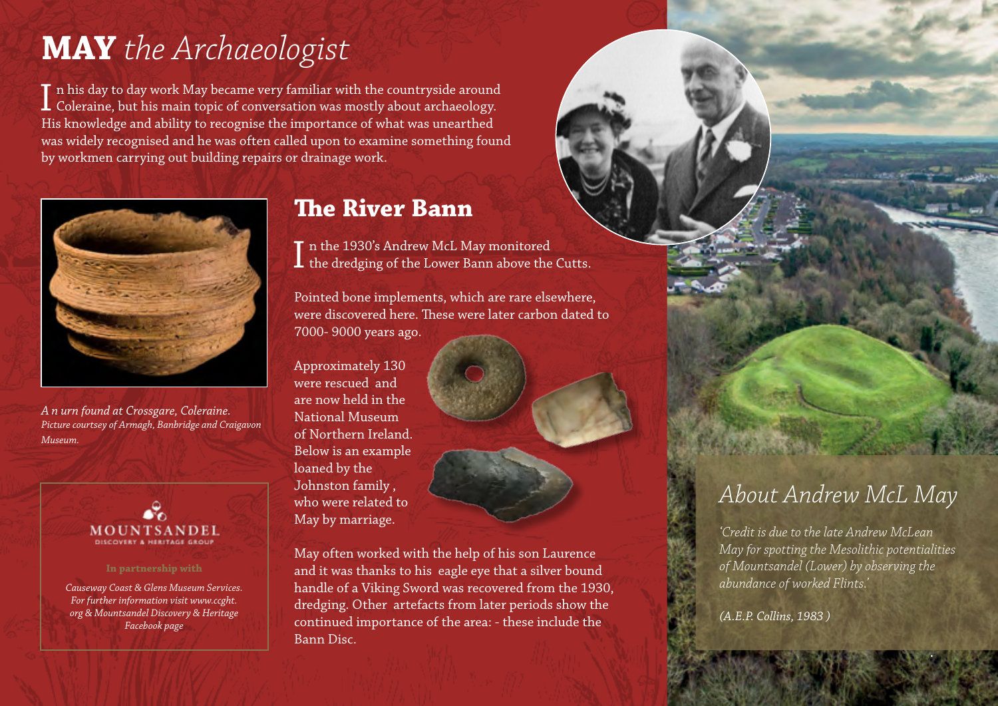# **MAY** *the Archaeologist*

 $\prod$ n his day to day work May became very familiar with the countryside around<br>Coleraine, but his main topic of conversation was mostly about archaeology. T n his day to day work May became very familiar with the countryside around His knowledge and ability to recognise the importance of what was unearthed was widely recognised and he was often called upon to examine something found by workmen carrying out building repairs or drainage work.



*A n urn found at Crossgare, Coleraine. Picture courtsey of Armagh, Banbridge and Craigavon Museum.* 



*Causeway Coast & Glens Museum Services. For further information visit www.ccght. org & Mountsandel Discovery & Heritage Facebook page* 

### **The River Bann**

In the 1930's Andrew McL May monitored<br>Ithe dredging of the Lower Bann above the Cutts. T n the 1930's Andrew McL May monitored

Pointed bone implements, which are rare elsewhere, were discovered here. These were later carbon dated to 7000- 9000 years ago.

Approximately 130 were rescued and are now held in the National Museum of Northern Ireland. Below is an example loaned by the Johnston family , who were related to May by marriage.

May often worked with the help of his son Laurence and it was thanks to his eagle eye that a silver bound handle of a Viking Sword was recovered from the 1930, dredging. Other artefacts from later periods show the continued importance of the area: - these include the Bann Disc.

### *About Andrew McL May*

*'Credit is due to the late Andrew McLean May for spotting the Mesolithic potentialities of Mountsandel (Lower) by observing the abundance of worked Flints.'* 

.

*(A.E.P. Collins, 1983 )*